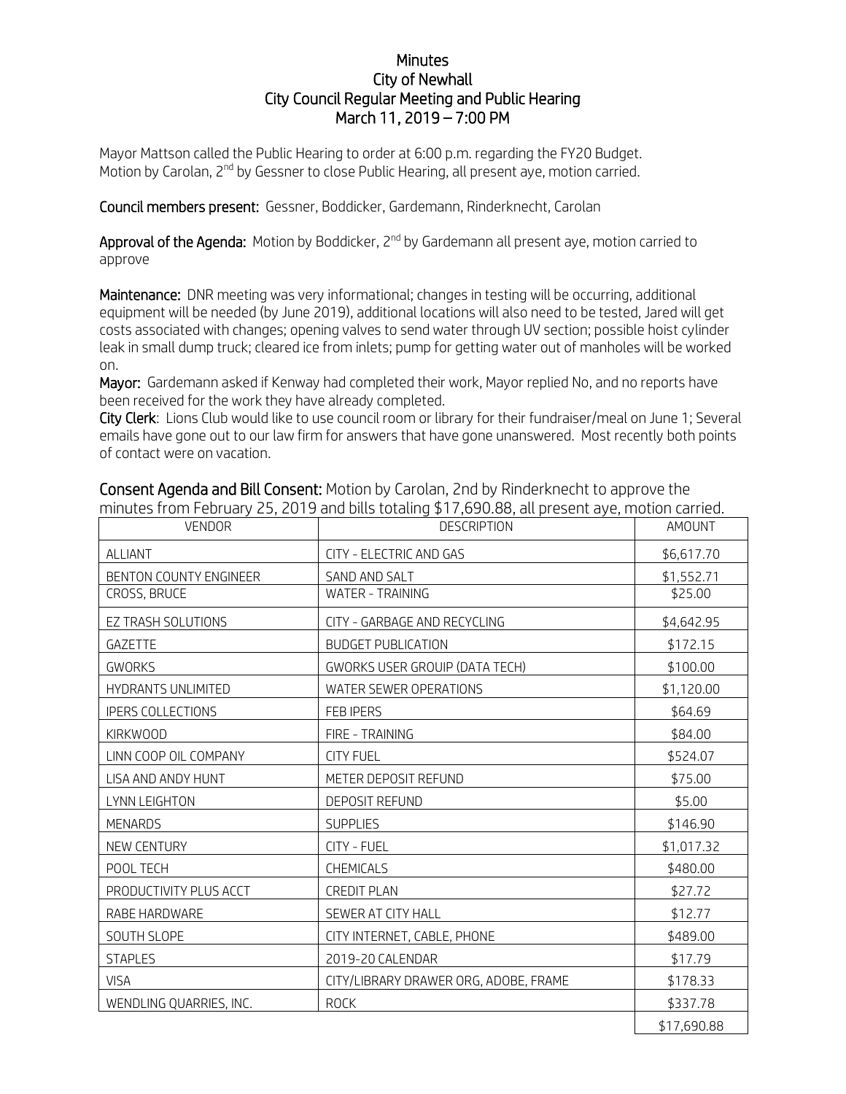## **Minutes** City of Newhall City Council Regular Meeting and Public Hearing March 11, 2019 – 7:00 PM

Mayor Mattson called the Public Hearing to order at 6:00 p.m. regarding the FY20 Budget. Motion by Carolan, 2nd by Gessner to close Public Hearing, all present aye, motion carried.

Council members present: Gessner, Boddicker, Gardemann, Rinderknecht, Carolan

Approval of the Agenda: Motion by Boddicker, 2<sup>nd</sup> by Gardemann all present aye, motion carried to approve

Maintenance: DNR meeting was very informational; changes in testing will be occurring, additional equipment will be needed (by June 2019), additional locations will also need to be tested, Jared will get costs associated with changes; opening valves to send water through UV section; possible hoist cylinder leak in small dump truck; cleared ice from inlets; pump for getting water out of manholes will be worked on.

Mayor: Gardemann asked if Kenway had completed their work, Mayor replied No, and no reports have been received for the work they have already completed.

City Clerk: Lions Club would like to use council room or library for their fundraiser/meal on June 1; Several emails have gone out to our law firm for answers that have gone unanswered. Most recently both points of contact were on vacation.

| <b>VENDOR</b>            | <b>DESCRIPTION</b>                    | AMOUNT      |
|--------------------------|---------------------------------------|-------------|
| ALLIANT                  | CITY - ELECTRIC AND GAS               | \$6,617.70  |
| BENTON COUNTY ENGINEER   | SAND AND SALT                         | \$1,552.71  |
| CROSS, BRUCE             | WATER - TRAINING                      | \$25.00     |
| EZ TRASH SOLUTIONS       | CITY - GARBAGE AND RECYCLING          | \$4,642.95  |
| GAZETTE                  | <b>BUDGET PUBLICATION</b>             | \$172.15    |
| <b>GWORKS</b>            | <b>GWORKS USER GROUIP (DATA TECH)</b> | \$100.00    |
| HYDRANTS UNLIMITED       | WATER SEWER OPERATIONS                | \$1,120.00  |
| <b>IPERS COLLECTIONS</b> | FEB IPERS                             | \$64.69     |
| KIRKWOOD                 | FIRE - TRAINING                       | \$84.00     |
| LINN COOP OIL COMPANY    | <b>CITY FUEL</b>                      | \$524.07    |
| LISA AND ANDY HUNT       | METER DEPOSIT REFUND                  | \$75.00     |
| LYNN LEIGHTON            | DEPOSIT REFUND                        | \$5.00      |
| <b>MENARDS</b>           | <b>SUPPLIES</b>                       | \$146.90    |
| <b>NEW CENTURY</b>       | CITY - FUEL                           | \$1,017.32  |
| POOL TECH                | CHEMICALS                             | \$480.00    |
| PRODUCTIVITY PLUS ACCT   | <b>CREDIT PLAN</b>                    | \$27.72     |
| RABE HARDWARE            | SEWER AT CITY HALL                    | \$12.77     |
| SOUTH SLOPE              | CITY INTERNET, CABLE, PHONE           | \$489.00    |
| <b>STAPLES</b>           | 2019-20 CALENDAR                      | \$17.79     |
| <b>VISA</b>              | CITY/LIBRARY DRAWER ORG, ADOBE, FRAME | \$178.33    |
| WENDLING QUARRIES, INC.  | <b>ROCK</b>                           | \$337.78    |
|                          |                                       | \$17,690.88 |

Consent Agenda and Bill Consent: Motion by Carolan, 2nd by Rinderknecht to approve the minutes from February 25, 2019 and bills totaling \$17,690.88, all present aye, motion carried.